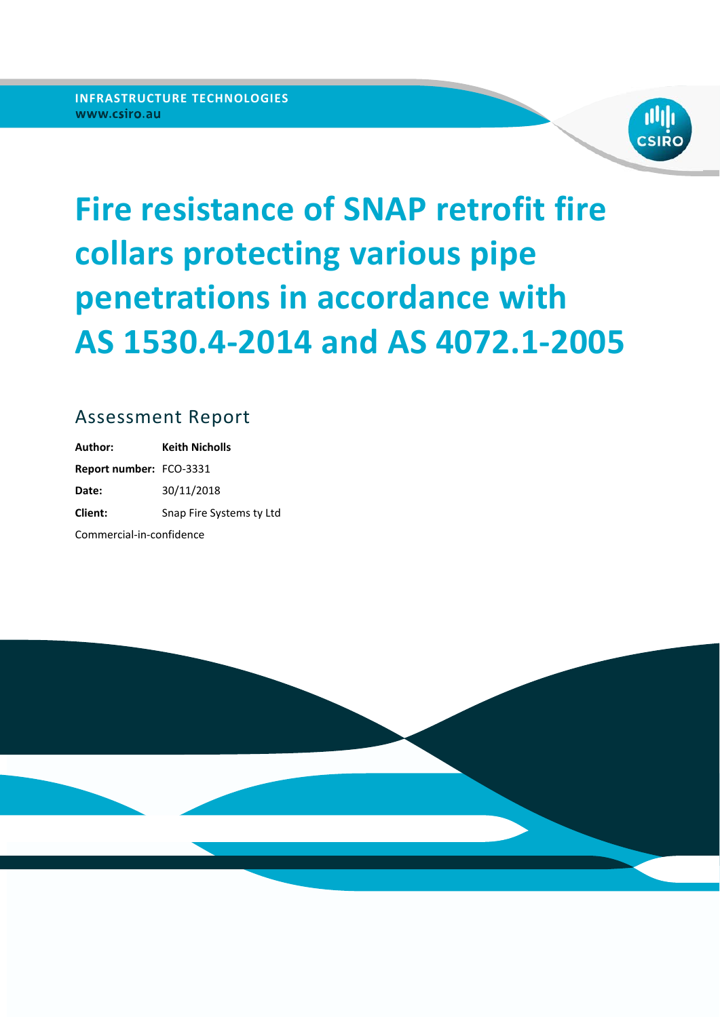

# **Fire resistance of SNAP retrofit fire collars protecting various pipe penetrations in accordance with AS 1530.4-2014 and AS 4072.1-2005**

### Assessment Report

**Author: Keith Nicholls Report number: FCO-3331 Date:** 30/11/2018 **Client:** Snap Fire Systems ty Ltd Commercial‐in‐confidence

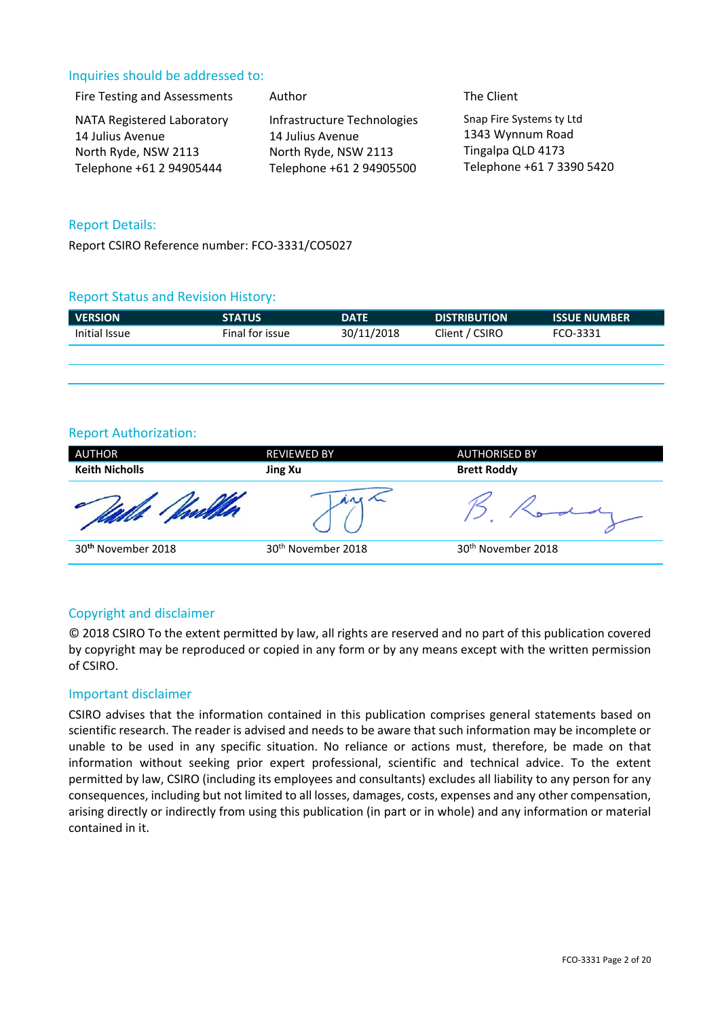### Inquiries should be addressed to:

| Fire Testing and Assessments<br>Author                                                             | The Client                                                                                                                                                                                            |
|----------------------------------------------------------------------------------------------------|-------------------------------------------------------------------------------------------------------------------------------------------------------------------------------------------------------|
| NATA Registered Laboratory<br>14 Julius Avenue<br>North Ryde, NSW 2113<br>Telephone +61 2 94905444 | Snap Fire Systems ty Ltd<br>Infrastructure Technologies<br>1343 Wynnum Road<br>14 Julius Avenue<br>Tingalpa QLD 4173<br>North Ryde, NSW 2113<br>Telephone +61 7 3390 5420<br>Telephone +61 2 94905500 |

### Report Details:

Report CSIRO Reference number: FCO‐3331/CO5027

### Report Status and Revision History:

| <b>VERSION</b> | <b>STATUS</b>   | <b>DATE</b> | <b>DISTRIBUTION</b> | <b>ISSUE NUMBER</b> |
|----------------|-----------------|-------------|---------------------|---------------------|
| Initial Issue  | Final for issue | 30/11/2018  | Client / CSIRO      | FCO-3331            |
|                |                 |             |                     |                     |

### Report Authorization:

| <b>AUTHOR</b><br><b>Keith Nicholls</b> | <b>REVIEWED BY</b>             | <b>AUTHORISED BY</b>           |  |
|----------------------------------------|--------------------------------|--------------------------------|--|
|                                        | Jing Xu                        | <b>Brett Roddy</b>             |  |
|                                        |                                |                                |  |
| 30 <sup>th</sup> November 2018         | 30 <sup>th</sup> November 2018 | 30 <sup>th</sup> November 2018 |  |

### Copyright and disclaimer

© 2018 CSIRO To the extent permitted by law, all rights are reserved and no part of this publication covered by copyright may be reproduced or copied in any form or by any means except with the written permission of CSIRO.

### Important disclaimer

CSIRO advises that the information contained in this publication comprises general statements based on scientific research. The reader is advised and needs to be aware that such information may be incomplete or unable to be used in any specific situation. No reliance or actions must, therefore, be made on that information without seeking prior expert professional, scientific and technical advice. To the extent permitted by law, CSIRO (including its employees and consultants) excludes all liability to any person for any consequences, including but not limited to all losses, damages, costs, expenses and any other compensation, arising directly or indirectly from using this publication (in part or in whole) and any information or material contained in it.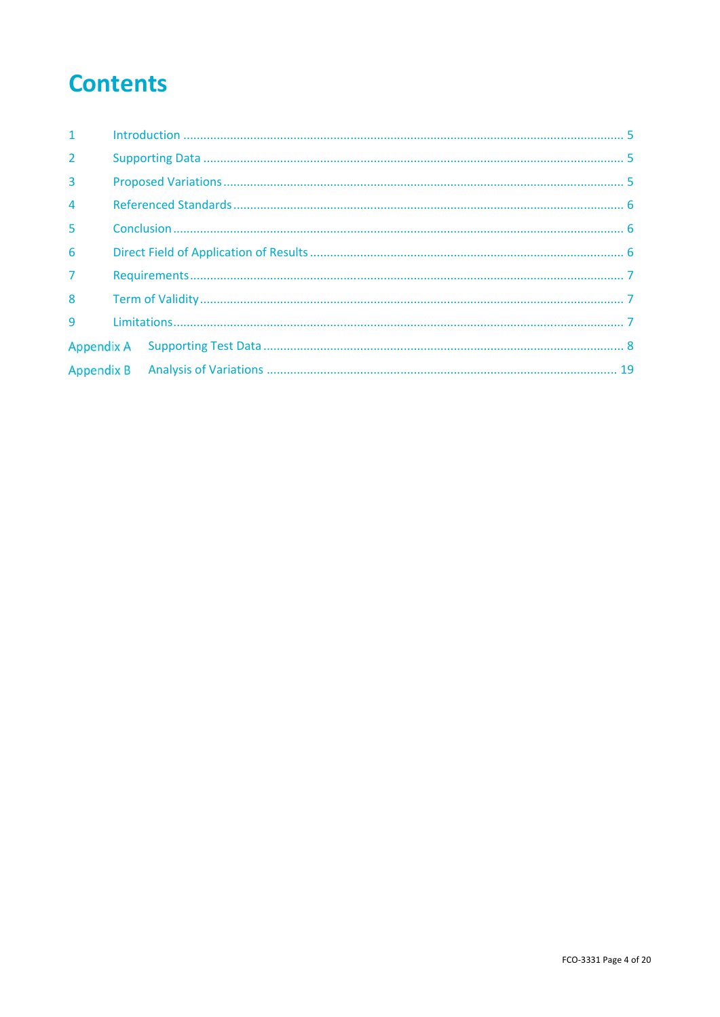## **Contents**

| 1              |  |  |  |  |
|----------------|--|--|--|--|
| $\overline{2}$ |  |  |  |  |
| $\overline{3}$ |  |  |  |  |
| $\overline{4}$ |  |  |  |  |
| 5              |  |  |  |  |
| 6              |  |  |  |  |
| $\overline{7}$ |  |  |  |  |
| 8              |  |  |  |  |
| $\mathbf{q}$   |  |  |  |  |
|                |  |  |  |  |
|                |  |  |  |  |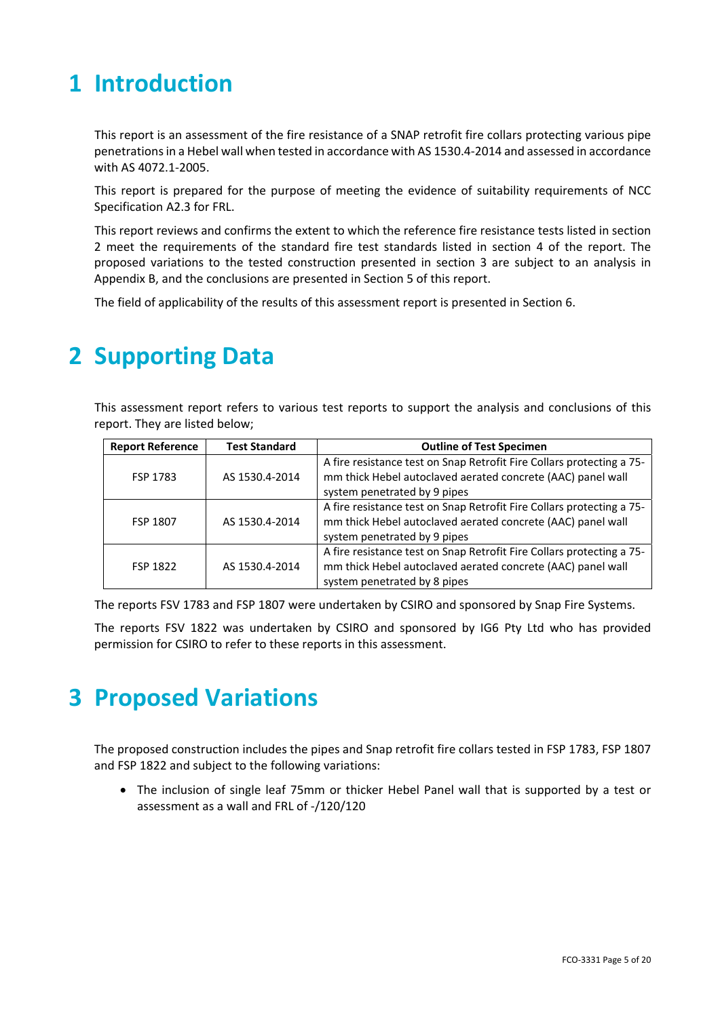## **1 Introduction**

This report is an assessment of the fire resistance of a SNAP retrofit fire collars protecting various pipe penetrations in a Hebel wall when tested in accordance with AS 1530.4‐2014 and assessed in accordance with AS 4072.1‐2005.

This report is prepared for the purpose of meeting the evidence of suitability requirements of NCC Specification A2.3 for FRL.

This report reviews and confirms the extent to which the reference fire resistance tests listed in section 2 meet the requirements of the standard fire test standards listed in section 4 of the report. The proposed variations to the tested construction presented in section 3 are subject to an analysis in Appendix B, and the conclusions are presented in Section 5 of this report.

The field of applicability of the results of this assessment report is presented in Section 6.

## **2 Supporting Data**

This assessment report refers to various test reports to support the analysis and conclusions of this report. They are listed below;

| <b>Report Reference</b> | <b>Test Standard</b> | <b>Outline of Test Specimen</b>                                                                                                                                      |  |  |
|-------------------------|----------------------|----------------------------------------------------------------------------------------------------------------------------------------------------------------------|--|--|
| FSP 1783                | AS 1530.4-2014       | A fire resistance test on Snap Retrofit Fire Collars protecting a 75-<br>mm thick Hebel autoclaved aerated concrete (AAC) panel wall<br>system penetrated by 9 pipes |  |  |
| <b>FSP 1807</b>         | AS 1530.4-2014       | A fire resistance test on Snap Retrofit Fire Collars protecting a 75-<br>mm thick Hebel autoclaved aerated concrete (AAC) panel wall<br>system penetrated by 9 pipes |  |  |
| FSP 1822                | AS 1530.4-2014       | A fire resistance test on Snap Retrofit Fire Collars protecting a 75-<br>mm thick Hebel autoclaved aerated concrete (AAC) panel wall<br>system penetrated by 8 pipes |  |  |

The reports FSV 1783 and FSP 1807 were undertaken by CSIRO and sponsored by Snap Fire Systems.

The reports FSV 1822 was undertaken by CSIRO and sponsored by IG6 Pty Ltd who has provided permission for CSIRO to refer to these reports in this assessment.

## **3 Proposed Variations**

The proposed construction includes the pipes and Snap retrofit fire collars tested in FSP 1783, FSP 1807 and FSP 1822 and subject to the following variations:

• The inclusion of single leaf 75mm or thicker Hebel Panel wall that is supported by a test or assessment as a wall and FRL of ‐/120/120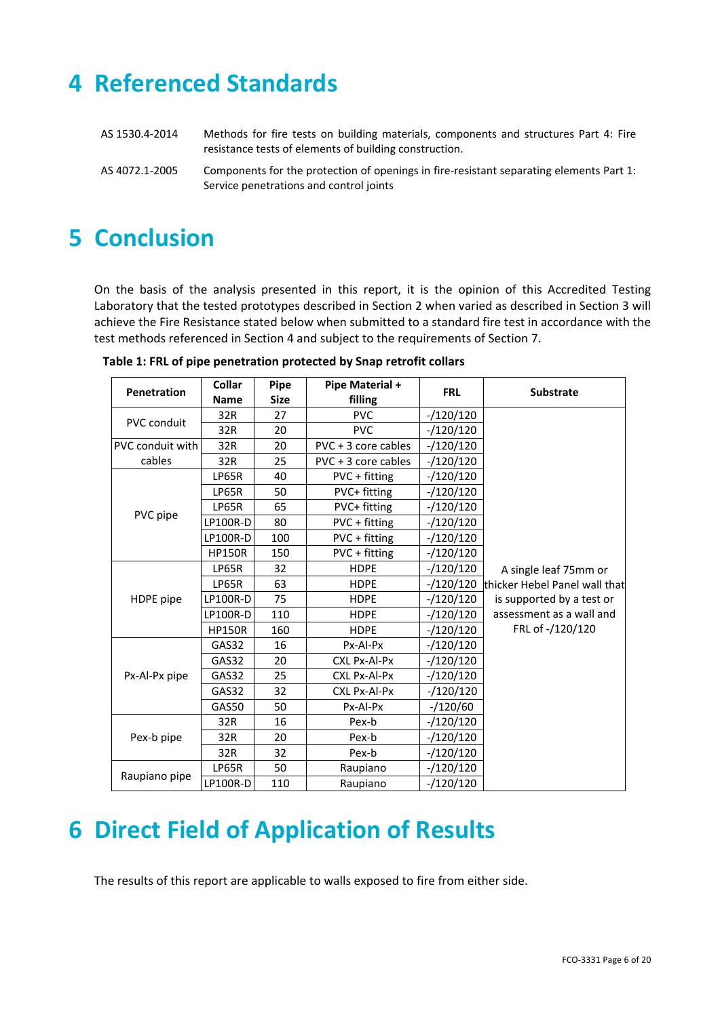## **4 Referenced Standards**

| AS 1530.4-2014 | Methods for fire tests on building materials, components and structures Part 4: Fire<br>resistance tests of elements of building construction. |
|----------------|------------------------------------------------------------------------------------------------------------------------------------------------|
| AS 4072.1-2005 | Components for the protection of openings in fire-resistant separating elements Part 1:<br>Service penetrations and control joints             |

## **5 Conclusion**

On the basis of the analysis presented in this report, it is the opinion of this Accredited Testing Laboratory that the tested prototypes described in Section 2 when varied as described in Section 3 will achieve the Fire Resistance stated below when submitted to a standard fire test in accordance with the test methods referenced in Section 4 and subject to the requirements of Section 7.

| <b>Penetration</b> | Collar          | Pipe        | Pipe Material +       | <b>FRL</b>  | <b>Substrate</b>              |  |
|--------------------|-----------------|-------------|-----------------------|-------------|-------------------------------|--|
|                    | <b>Name</b>     | <b>Size</b> | filling               |             |                               |  |
| <b>PVC conduit</b> | 32R             | 27          | <b>PVC</b>            | $-120/120$  |                               |  |
|                    | 32R             | 20          | <b>PVC</b>            | $-120/120$  |                               |  |
| PVC conduit with   | 32R             | 20          | $PVC + 3$ core cables | $-120/120$  |                               |  |
| cables             | 32R             | 25          | $PVC + 3$ core cables | $-120/120$  |                               |  |
|                    | LP65R           | 40          | PVC + fitting         | $-120/120$  |                               |  |
|                    | LP65R           | 50          | PVC+ fitting          | $-120/120$  |                               |  |
|                    | LP65R           | 65          | PVC+ fitting          | $-120/120$  |                               |  |
| PVC pipe           | <b>LP100R-D</b> | 80          | PVC + fitting         | $-120/120$  |                               |  |
|                    | LP100R-D        | 100         | PVC + fitting         | $-/120/120$ |                               |  |
|                    | <b>HP150R</b>   | 150         | PVC + fitting         | $-120/120$  |                               |  |
|                    | LP65R           | 32          | <b>HDPE</b>           | $-120/120$  | A single leaf 75mm or         |  |
|                    | LP65R           | 63          | <b>HDPE</b>           | $-120/120$  | thicker Hebel Panel wall that |  |
| HDPE pipe          | LP100R-D        | 75          | <b>HDPE</b>           | $-120/120$  | is supported by a test or     |  |
|                    | LP100R-D        | 110         | <b>HDPE</b>           | $-120/120$  | assessment as a wall and      |  |
|                    | <b>HP150R</b>   | 160         | <b>HDPE</b>           | $-/120/120$ | FRL of -/120/120              |  |
|                    | GAS32           | 16          | Px-Al-Px              | $-120/120$  |                               |  |
|                    | GAS32           | 20          | CXL Px-Al-Px          | $-/120/120$ |                               |  |
| Px-Al-Px pipe      | GAS32           | 25          | CXL Px-Al-Px          | $-120/120$  |                               |  |
|                    | GAS32           | 32          | CXL Px-Al-Px          | $-/120/120$ |                               |  |
|                    | GAS50           | 50          | Px-Al-Px              | $-/120/60$  |                               |  |
|                    | 32R             | 16          | Pex-b                 | $-120/120$  |                               |  |
| Pex-b pipe         | 32R             | 20          | Pex-b                 | $-120/120$  |                               |  |
|                    | 32R             | 32          | Pex-b                 | $-120/120$  |                               |  |
|                    | LP65R           | 50          | Raupiano              | $-120/120$  |                               |  |
| Raupiano pipe      | <b>LP100R-D</b> | 110         | Raupiano              | $-120/120$  |                               |  |

**Table 1: FRL of pipe penetration protected by Snap retrofit collars** 

## **6 Direct Field of Application of Results**

The results of this report are applicable to walls exposed to fire from either side.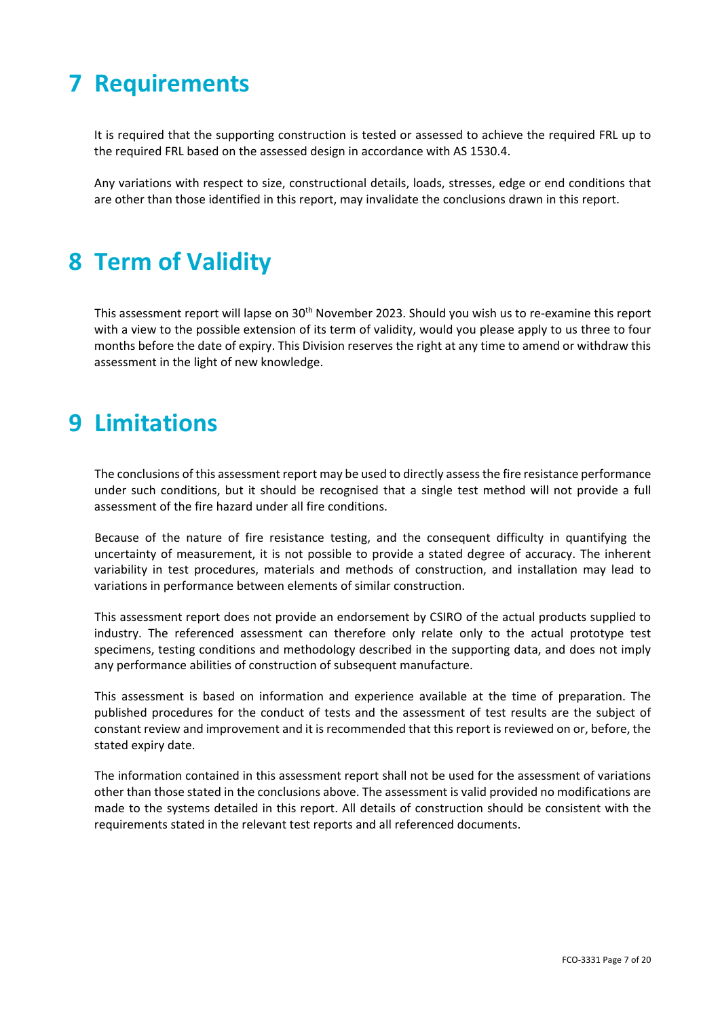## **7 Requirements**

It is required that the supporting construction is tested or assessed to achieve the required FRL up to the required FRL based on the assessed design in accordance with AS 1530.4.

Any variations with respect to size, constructional details, loads, stresses, edge or end conditions that are other than those identified in this report, may invalidate the conclusions drawn in this report.

## **8 Term of Validity**

This assessment report will lapse on 30<sup>th</sup> November 2023. Should you wish us to re-examine this report with a view to the possible extension of its term of validity, would you please apply to us three to four months before the date of expiry. This Division reserves the right at any time to amend or withdraw this assessment in the light of new knowledge.

## **9 Limitations**

The conclusions of this assessment report may be used to directly assess the fire resistance performance under such conditions, but it should be recognised that a single test method will not provide a full assessment of the fire hazard under all fire conditions.

Because of the nature of fire resistance testing, and the consequent difficulty in quantifying the uncertainty of measurement, it is not possible to provide a stated degree of accuracy. The inherent variability in test procedures, materials and methods of construction, and installation may lead to variations in performance between elements of similar construction.

This assessment report does not provide an endorsement by CSIRO of the actual products supplied to industry. The referenced assessment can therefore only relate only to the actual prototype test specimens, testing conditions and methodology described in the supporting data, and does not imply any performance abilities of construction of subsequent manufacture.

This assessment is based on information and experience available at the time of preparation. The published procedures for the conduct of tests and the assessment of test results are the subject of constant review and improvement and it is recommended that this report is reviewed on or, before, the stated expiry date.

The information contained in this assessment report shall not be used for the assessment of variations other than those stated in the conclusions above. The assessment is valid provided no modifications are made to the systems detailed in this report. All details of construction should be consistent with the requirements stated in the relevant test reports and all referenced documents.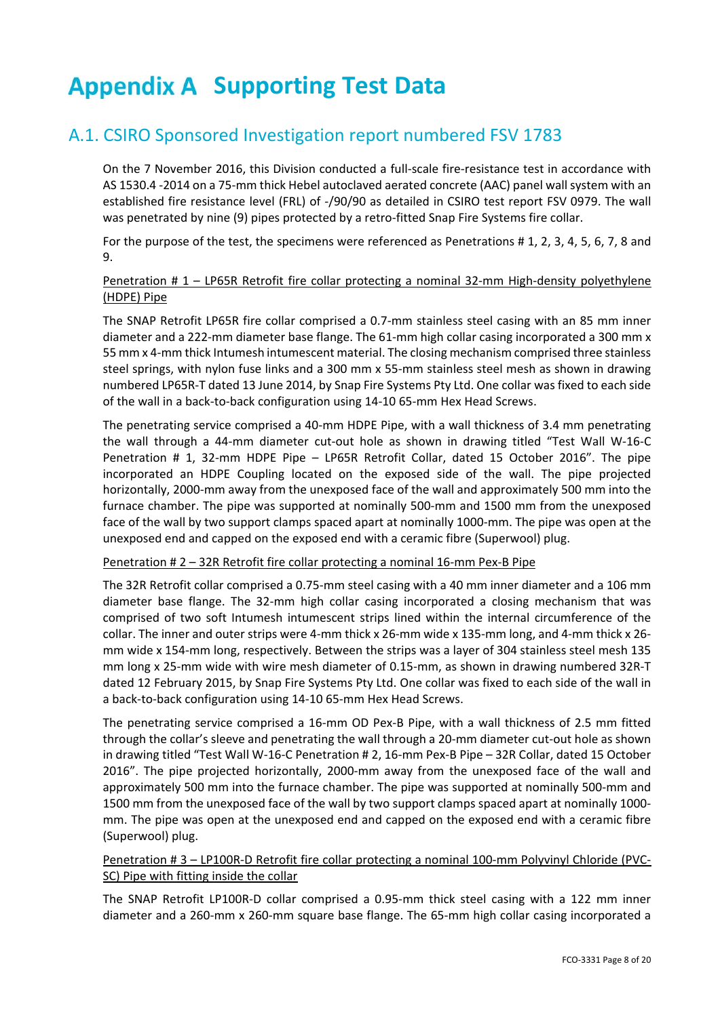## **Appendix A Supporting Test Data**

### A.1. CSIRO Sponsored Investigation report numbered FSV 1783

On the 7 November 2016, this Division conducted a full‐scale fire‐resistance test in accordance with AS 1530.4 ‐2014 on a 75‐mm thick Hebel autoclaved aerated concrete (AAC) panel wall system with an established fire resistance level (FRL) of ‐/90/90 as detailed in CSIRO test report FSV 0979. The wall was penetrated by nine (9) pipes protected by a retro-fitted Snap Fire Systems fire collar.

For the purpose of the test, the specimens were referenced as Penetrations # 1, 2, 3, 4, 5, 6, 7, 8 and 9.

### Penetration # 1 – LP65R Retrofit fire collar protecting a nominal 32-mm High-density polyethylene (HDPE) Pipe

The SNAP Retrofit LP65R fire collar comprised a 0.7‐mm stainless steel casing with an 85 mm inner diameter and a 222-mm diameter base flange. The 61-mm high collar casing incorporated a 300 mm x 55 mm x 4‐mm thick Intumesh intumescent material. The closing mechanism comprised three stainless steel springs, with nylon fuse links and a 300 mm x 55‐mm stainless steel mesh as shown in drawing numbered LP65R‐T dated 13 June 2014, by Snap Fire Systems Pty Ltd. One collar was fixed to each side of the wall in a back‐to‐back configuration using 14‐10 65‐mm Hex Head Screws.

The penetrating service comprised a 40‐mm HDPE Pipe, with a wall thickness of 3.4 mm penetrating the wall through a 44-mm diameter cut-out hole as shown in drawing titled "Test Wall W-16-C Penetration # 1, 32-mm HDPE Pipe - LP65R Retrofit Collar, dated 15 October 2016". The pipe incorporated an HDPE Coupling located on the exposed side of the wall. The pipe projected horizontally, 2000‐mm away from the unexposed face of the wall and approximately 500 mm into the furnace chamber. The pipe was supported at nominally 500‐mm and 1500 mm from the unexposed face of the wall by two support clamps spaced apart at nominally 1000-mm. The pipe was open at the unexposed end and capped on the exposed end with a ceramic fibre (Superwool) plug.

### Penetration # 2 – 32R Retrofit fire collar protecting a nominal 16‐mm Pex‐B Pipe

The 32R Retrofit collar comprised a 0.75‐mm steel casing with a 40 mm inner diameter and a 106 mm diameter base flange. The 32-mm high collar casing incorporated a closing mechanism that was comprised of two soft Intumesh intumescent strips lined within the internal circumference of the collar. The inner and outer strips were 4‐mm thick x 26‐mm wide x 135‐mm long, and 4‐mm thick x 26‐ mm wide x 154‐mm long, respectively. Between the strips was a layer of 304 stainless steel mesh 135 mm long x 25-mm wide with wire mesh diameter of 0.15-mm, as shown in drawing numbered 32R-T dated 12 February 2015, by Snap Fire Systems Pty Ltd. One collar was fixed to each side of the wall in a back‐to‐back configuration using 14‐10 65‐mm Hex Head Screws.

The penetrating service comprised a 16‐mm OD Pex‐B Pipe, with a wall thickness of 2.5 mm fitted through the collar's sleeve and penetrating the wall through a 20‐mm diameter cut‐out hole as shown in drawing titled "Test Wall W‐16‐C Penetration # 2, 16‐mm Pex‐B Pipe – 32R Collar, dated 15 October 2016". The pipe projected horizontally, 2000‐mm away from the unexposed face of the wall and approximately 500 mm into the furnace chamber. The pipe was supported at nominally 500‐mm and 1500 mm from the unexposed face of the wall by two support clamps spaced apart at nominally 1000‐ mm. The pipe was open at the unexposed end and capped on the exposed end with a ceramic fibre (Superwool) plug.

### Penetration # 3 – LP100R‐D Retrofit fire collar protecting a nominal 100‐mm Polyvinyl Chloride (PVC‐ SC) Pipe with fitting inside the collar

The SNAP Retrofit LP100R-D collar comprised a 0.95-mm thick steel casing with a 122 mm inner diameter and a 260‐mm x 260‐mm square base flange. The 65‐mm high collar casing incorporated a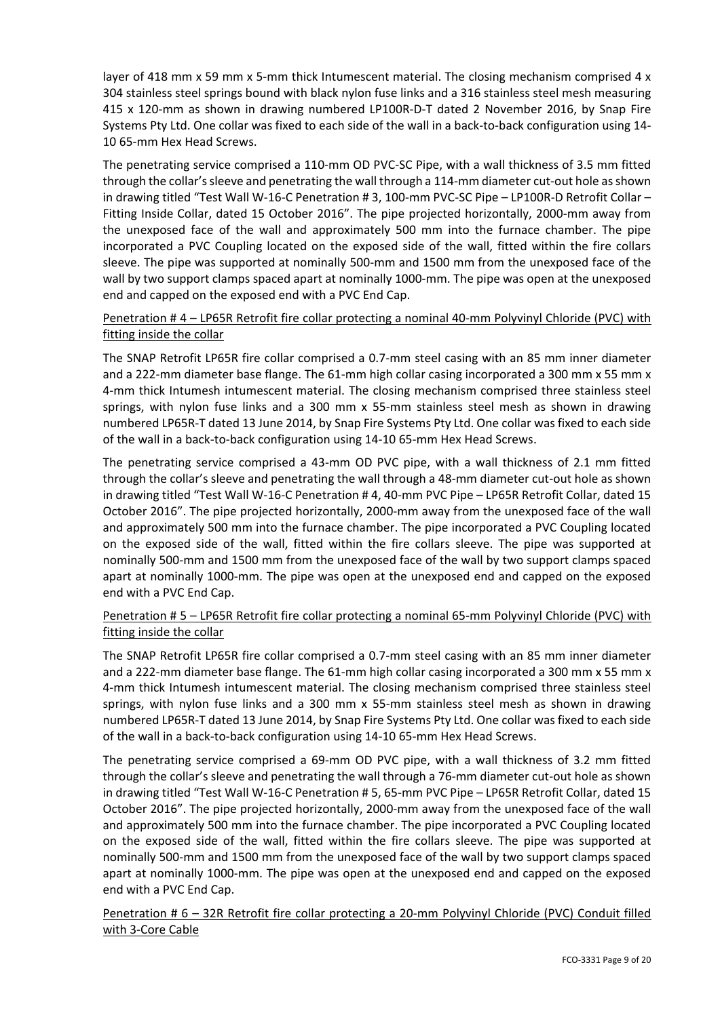layer of 418 mm x 59 mm x 5-mm thick Intumescent material. The closing mechanism comprised 4 x 304 stainless steel springs bound with black nylon fuse links and a 316 stainless steel mesh measuring 415 x 120-mm as shown in drawing numbered LP100R-D-T dated 2 November 2016, by Snap Fire Systems Pty Ltd. One collar was fixed to each side of the wall in a back‐to‐back configuration using 14‐ 10 65‐mm Hex Head Screws.

The penetrating service comprised a 110-mm OD PVC-SC Pipe, with a wall thickness of 3.5 mm fitted through the collar's sleeve and penetrating the wall through a 114‐mm diameter cut‐out hole as shown in drawing titled "Test Wall W-16-C Penetration # 3, 100-mm PVC-SC Pipe – LP100R-D Retrofit Collar – Fitting Inside Collar, dated 15 October 2016". The pipe projected horizontally, 2000-mm away from the unexposed face of the wall and approximately 500 mm into the furnace chamber. The pipe incorporated a PVC Coupling located on the exposed side of the wall, fitted within the fire collars sleeve. The pipe was supported at nominally 500‐mm and 1500 mm from the unexposed face of the wall by two support clamps spaced apart at nominally 1000-mm. The pipe was open at the unexposed end and capped on the exposed end with a PVC End Cap.

### Penetration # 4 – LP65R Retrofit fire collar protecting a nominal 40‐mm Polyvinyl Chloride (PVC) with fitting inside the collar

The SNAP Retrofit LP65R fire collar comprised a 0.7‐mm steel casing with an 85 mm inner diameter and a 222-mm diameter base flange. The 61-mm high collar casing incorporated a 300 mm x 55 mm x 4‐mm thick Intumesh intumescent material. The closing mechanism comprised three stainless steel springs, with nylon fuse links and a 300 mm x 55-mm stainless steel mesh as shown in drawing numbered LP65R‐T dated 13 June 2014, by Snap Fire Systems Pty Ltd. One collar was fixed to each side of the wall in a back‐to‐back configuration using 14‐10 65‐mm Hex Head Screws.

The penetrating service comprised a 43-mm OD PVC pipe, with a wall thickness of 2.1 mm fitted through the collar's sleeve and penetrating the wall through a 48‐mm diameter cut‐out hole as shown in drawing titled "Test Wall W-16-C Penetration # 4, 40-mm PVC Pipe - LP65R Retrofit Collar, dated 15 October 2016". The pipe projected horizontally, 2000‐mm away from the unexposed face of the wall and approximately 500 mm into the furnace chamber. The pipe incorporated a PVC Coupling located on the exposed side of the wall, fitted within the fire collars sleeve. The pipe was supported at nominally 500‐mm and 1500 mm from the unexposed face of the wall by two support clamps spaced apart at nominally 1000‐mm. The pipe was open at the unexposed end and capped on the exposed end with a PVC End Cap.

### Penetration # 5 – LP65R Retrofit fire collar protecting a nominal 65‐mm Polyvinyl Chloride (PVC) with fitting inside the collar

The SNAP Retrofit LP65R fire collar comprised a 0.7‐mm steel casing with an 85 mm inner diameter and a 222-mm diameter base flange. The 61-mm high collar casing incorporated a 300 mm x 55 mm x 4‐mm thick Intumesh intumescent material. The closing mechanism comprised three stainless steel springs, with nylon fuse links and a 300 mm x 55-mm stainless steel mesh as shown in drawing numbered LP65R‐T dated 13 June 2014, by Snap Fire Systems Pty Ltd. One collar was fixed to each side of the wall in a back‐to‐back configuration using 14‐10 65‐mm Hex Head Screws.

The penetrating service comprised a 69-mm OD PVC pipe, with a wall thickness of 3.2 mm fitted through the collar's sleeve and penetrating the wall through a 76‐mm diameter cut‐out hole as shown in drawing titled "Test Wall W‐16‐C Penetration # 5, 65‐mm PVC Pipe – LP65R Retrofit Collar, dated 15 October 2016". The pipe projected horizontally, 2000‐mm away from the unexposed face of the wall and approximately 500 mm into the furnace chamber. The pipe incorporated a PVC Coupling located on the exposed side of the wall, fitted within the fire collars sleeve. The pipe was supported at nominally 500‐mm and 1500 mm from the unexposed face of the wall by two support clamps spaced apart at nominally 1000‐mm. The pipe was open at the unexposed end and capped on the exposed end with a PVC End Cap.

Penetration # 6 – 32R Retrofit fire collar protecting a 20-mm Polyvinyl Chloride (PVC) Conduit filled with 3‐Core Cable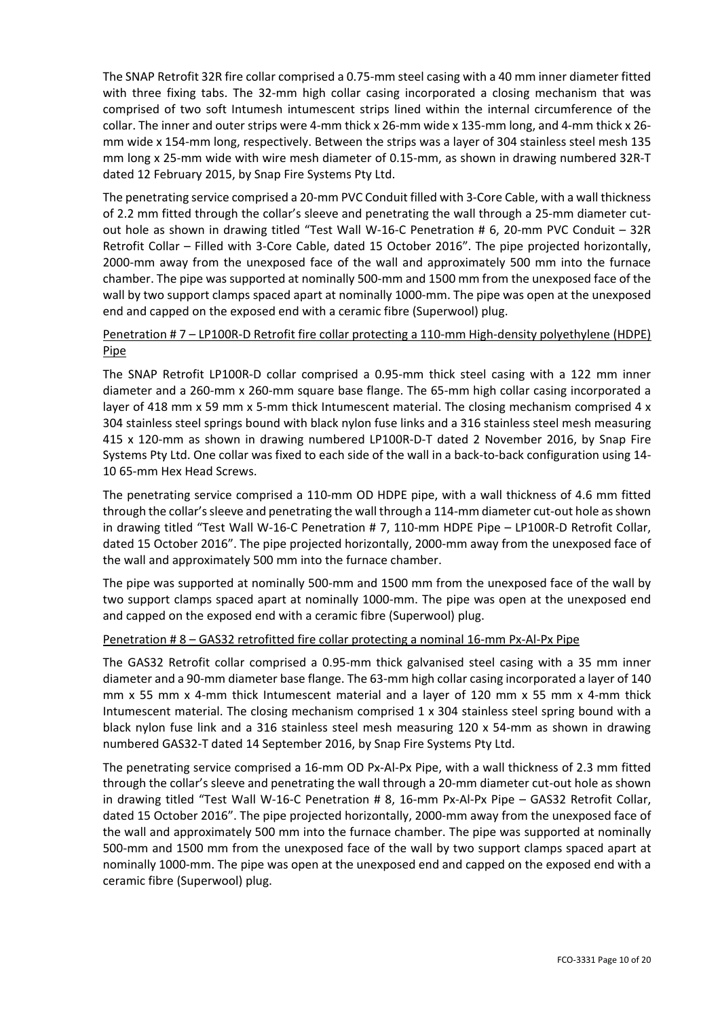The SNAP Retrofit 32R fire collar comprised a 0.75‐mm steel casing with a 40 mm inner diameter fitted with three fixing tabs. The 32-mm high collar casing incorporated a closing mechanism that was comprised of two soft Intumesh intumescent strips lined within the internal circumference of the collar. The inner and outer strips were 4‐mm thick x 26‐mm wide x 135‐mm long, and 4‐mm thick x 26‐ mm wide x 154‐mm long, respectively. Between the strips was a layer of 304 stainless steel mesh 135 mm long x 25-mm wide with wire mesh diameter of 0.15-mm, as shown in drawing numbered 32R-T dated 12 February 2015, by Snap Fire Systems Pty Ltd.

The penetrating service comprised a 20-mm PVC Conduit filled with 3-Core Cable, with a wall thickness of 2.2 mm fitted through the collar's sleeve and penetrating the wall through a 25-mm diameter cutout hole as shown in drawing titled "Test Wall W-16-C Penetration # 6, 20-mm PVC Conduit - 32R Retrofit Collar – Filled with 3‐Core Cable, dated 15 October 2016". The pipe projected horizontally, 2000‐mm away from the unexposed face of the wall and approximately 500 mm into the furnace chamber. The pipe was supported at nominally 500‐mm and 1500 mm from the unexposed face of the wall by two support clamps spaced apart at nominally 1000-mm. The pipe was open at the unexposed end and capped on the exposed end with a ceramic fibre (Superwool) plug.

### Penetration # 7 – LP100R-D Retrofit fire collar protecting a 110-mm High-density polyethylene (HDPE) Pipe

The SNAP Retrofit LP100R-D collar comprised a 0.95-mm thick steel casing with a 122 mm inner diameter and a 260‐mm x 260‐mm square base flange. The 65‐mm high collar casing incorporated a layer of 418 mm  $x$  59 mm  $x$  5-mm thick Intumescent material. The closing mechanism comprised 4  $x$ 304 stainless steel springs bound with black nylon fuse links and a 316 stainless steel mesh measuring 415 x 120-mm as shown in drawing numbered LP100R-D-T dated 2 November 2016, by Snap Fire Systems Pty Ltd. One collar was fixed to each side of the wall in a back‐to‐back configuration using 14‐ 10 65‐mm Hex Head Screws.

The penetrating service comprised a 110‐mm OD HDPE pipe, with a wall thickness of 4.6 mm fitted through the collar's sleeve and penetrating the wall through a 114‐mm diameter cut‐out hole as shown in drawing titled "Test Wall W-16-C Penetration # 7, 110-mm HDPE Pipe – LP100R-D Retrofit Collar, dated 15 October 2016". The pipe projected horizontally, 2000‐mm away from the unexposed face of the wall and approximately 500 mm into the furnace chamber.

The pipe was supported at nominally 500-mm and 1500 mm from the unexposed face of the wall by two support clamps spaced apart at nominally 1000‐mm. The pipe was open at the unexposed end and capped on the exposed end with a ceramic fibre (Superwool) plug.

### Penetration # 8 – GAS32 retrofitted fire collar protecting a nominal 16-mm Px-Al-Px Pipe

The GAS32 Retrofit collar comprised a 0.95-mm thick galvanised steel casing with a 35 mm inner diameter and a 90‐mm diameter base flange. The 63‐mm high collar casing incorporated a layer of 140 mm x 55 mm x 4-mm thick Intumescent material and a laver of 120 mm x 55 mm x 4-mm thick Intumescent material. The closing mechanism comprised 1 x 304 stainless steel spring bound with a black nylon fuse link and a 316 stainless steel mesh measuring 120 x 54‐mm as shown in drawing numbered GAS32‐T dated 14 September 2016, by Snap Fire Systems Pty Ltd.

The penetrating service comprised a 16-mm OD Px-Al-Px Pipe, with a wall thickness of 2.3 mm fitted through the collar's sleeve and penetrating the wall through a 20‐mm diameter cut‐out hole as shown in drawing titled "Test Wall W‐16‐C Penetration # 8, 16‐mm Px‐Al‐Px Pipe – GAS32 Retrofit Collar, dated 15 October 2016". The pipe projected horizontally, 2000‐mm away from the unexposed face of the wall and approximately 500 mm into the furnace chamber. The pipe was supported at nominally 500‐mm and 1500 mm from the unexposed face of the wall by two support clamps spaced apart at nominally 1000‐mm. The pipe was open at the unexposed end and capped on the exposed end with a ceramic fibre (Superwool) plug.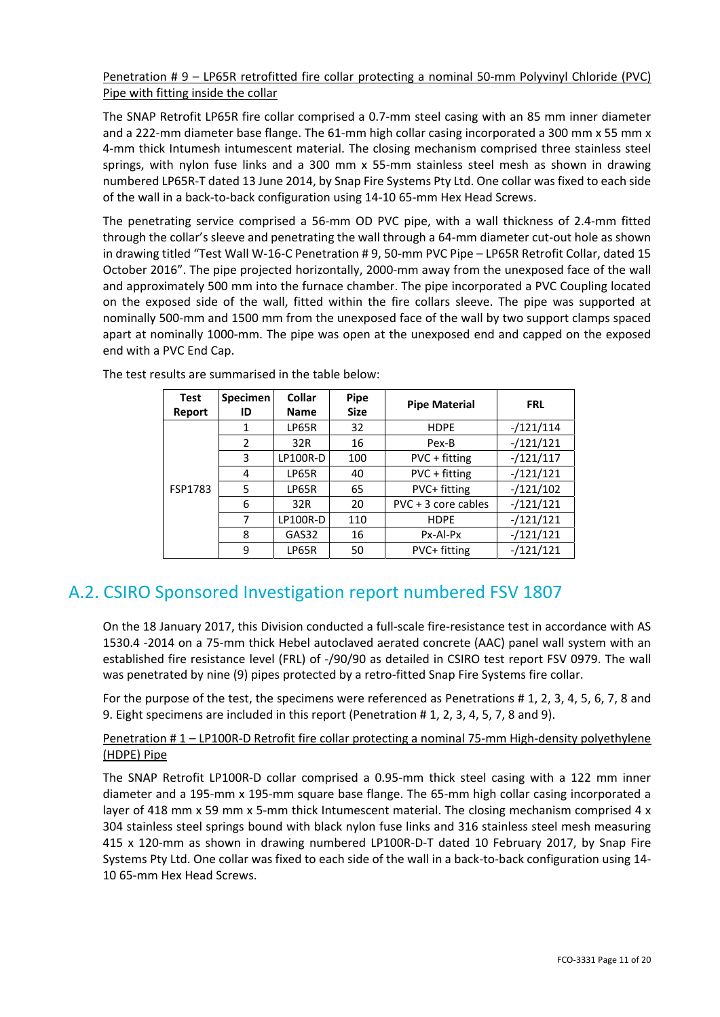### Penetration # 9 – LP65R retrofitted fire collar protecting a nominal 50-mm Polyvinyl Chloride (PVC) Pipe with fitting inside the collar

The SNAP Retrofit LP65R fire collar comprised a 0.7‐mm steel casing with an 85 mm inner diameter and a 222-mm diameter base flange. The 61-mm high collar casing incorporated a 300 mm x 55 mm x 4‐mm thick Intumesh intumescent material. The closing mechanism comprised three stainless steel springs, with nylon fuse links and a 300 mm x 55-mm stainless steel mesh as shown in drawing numbered LP65R‐T dated 13 June 2014, by Snap Fire Systems Pty Ltd. One collar was fixed to each side of the wall in a back‐to‐back configuration using 14‐10 65‐mm Hex Head Screws.

The penetrating service comprised a 56-mm OD PVC pipe, with a wall thickness of 2.4-mm fitted through the collar's sleeve and penetrating the wall through a 64‐mm diameter cut‐out hole as shown in drawing titled "Test Wall W‐16‐C Penetration # 9, 50‐mm PVC Pipe – LP65R Retrofit Collar, dated 15 October 2016". The pipe projected horizontally, 2000‐mm away from the unexposed face of the wall and approximately 500 mm into the furnace chamber. The pipe incorporated a PVC Coupling located on the exposed side of the wall, fitted within the fire collars sleeve. The pipe was supported at nominally 500‐mm and 1500 mm from the unexposed face of the wall by two support clamps spaced apart at nominally 1000‐mm. The pipe was open at the unexposed end and capped on the exposed end with a PVC End Cap.

| Test<br>Report | <b>Specimen</b><br>ID | <b>Collar</b><br><b>Name</b> | Pipe<br><b>Size</b> | <b>Pipe Material</b>  | <b>FRL</b>  |
|----------------|-----------------------|------------------------------|---------------------|-----------------------|-------------|
|                | 1                     | LP65R                        | 32                  | <b>HDPE</b>           | $-121/114$  |
|                | 2                     | 32R                          | 16                  | Pex-B                 | $-/121/121$ |
|                | 3                     | <b>LP100R-D</b>              | 100                 | PVC + fitting         | $-/121/117$ |
|                | 4                     | LP65R                        | PVC + fitting<br>40 |                       | $-/121/121$ |
| FSP1783        | 5                     | LP65R                        | 65                  | PVC+ fitting          | $-121/102$  |
|                | 6                     | 32R                          | 20                  | $PVC + 3 core cables$ | $-/121/121$ |
|                | 7                     | <b>LP100R-D</b>              | 110                 | <b>HDPE</b>           | $-/121/121$ |
|                | 8                     | Px-Al-Px<br>GAS32<br>16      |                     | $-/121/121$           |             |
|                | 9                     | LP65R                        | 50                  | PVC+ fitting          | $-/121/121$ |

The test results are summarised in the table below:

### A.2. CSIRO Sponsored Investigation report numbered FSV 1807

On the 18 January 2017, this Division conducted a full‐scale fire‐resistance test in accordance with AS 1530.4 ‐2014 on a 75‐mm thick Hebel autoclaved aerated concrete (AAC) panel wall system with an established fire resistance level (FRL) of ‐/90/90 as detailed in CSIRO test report FSV 0979. The wall was penetrated by nine (9) pipes protected by a retro-fitted Snap Fire Systems fire collar.

For the purpose of the test, the specimens were referenced as Penetrations # 1, 2, 3, 4, 5, 6, 7, 8 and 9. Eight specimens are included in this report (Penetration # 1, 2, 3, 4, 5, 7, 8 and 9).

### Penetration # 1 – LP100R-D Retrofit fire collar protecting a nominal 75-mm High-density polyethylene (HDPE) Pipe

The SNAP Retrofit LP100R-D collar comprised a 0.95-mm thick steel casing with a 122 mm inner diameter and a 195‐mm x 195‐mm square base flange. The 65‐mm high collar casing incorporated a layer of 418 mm  $x$  59 mm  $x$  5-mm thick Intumescent material. The closing mechanism comprised 4  $x$ 304 stainless steel springs bound with black nylon fuse links and 316 stainless steel mesh measuring 415 x 120-mm as shown in drawing numbered LP100R-D-T dated 10 February 2017, by Snap Fire Systems Pty Ltd. One collar was fixed to each side of the wall in a back‐to‐back configuration using 14‐ 10 65‐mm Hex Head Screws.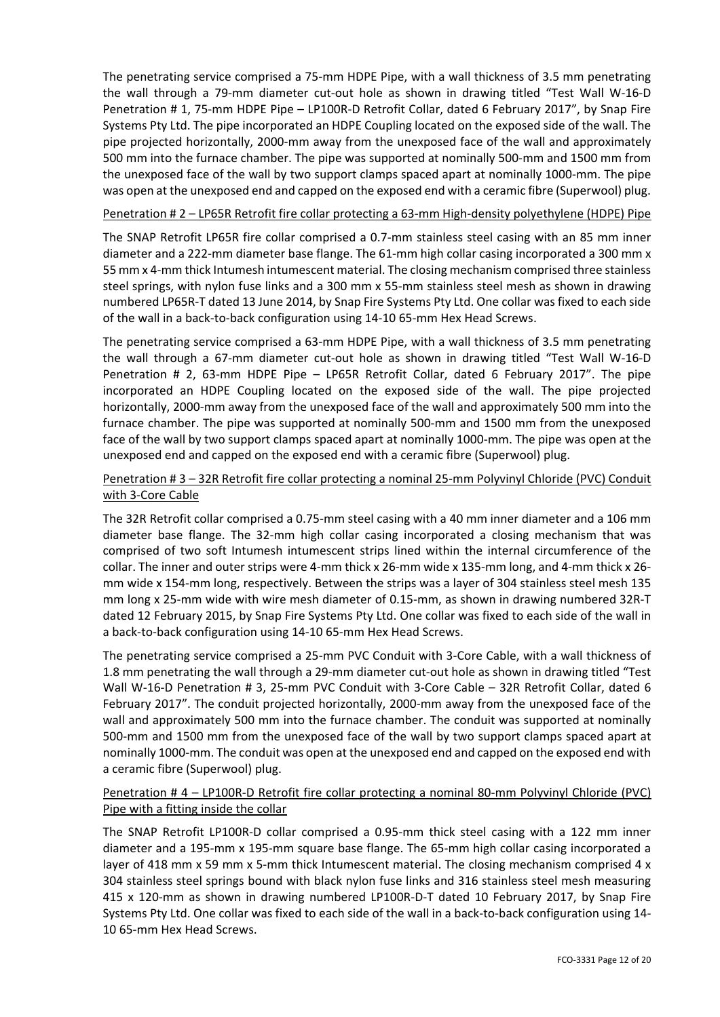The penetrating service comprised a 75‐mm HDPE Pipe, with a wall thickness of 3.5 mm penetrating the wall through a 79-mm diameter cut-out hole as shown in drawing titled "Test Wall W-16-D Penetration # 1, 75‐mm HDPE Pipe – LP100R‐D Retrofit Collar, dated 6 February 2017", by Snap Fire Systems Pty Ltd. The pipe incorporated an HDPE Coupling located on the exposed side of the wall. The pipe projected horizontally, 2000‐mm away from the unexposed face of the wall and approximately 500 mm into the furnace chamber. The pipe was supported at nominally 500‐mm and 1500 mm from the unexposed face of the wall by two support clamps spaced apart at nominally 1000‐mm. The pipe was open at the unexposed end and capped on the exposed end with a ceramic fibre (Superwool) plug.

### Penetration # 2 – LP65R Retrofit fire collar protecting a 63-mm High-density polyethylene (HDPE) Pipe

The SNAP Retrofit LP65R fire collar comprised a 0.7‐mm stainless steel casing with an 85 mm inner diameter and a 222‐mm diameter base flange. The 61‐mm high collar casing incorporated a 300 mm x 55 mm x 4‐mm thick Intumesh intumescent material. The closing mechanism comprised three stainless steel springs, with nylon fuse links and a 300 mm x 55-mm stainless steel mesh as shown in drawing numbered LP65R‐T dated 13 June 2014, by Snap Fire Systems Pty Ltd. One collar was fixed to each side of the wall in a back‐to‐back configuration using 14‐10 65‐mm Hex Head Screws.

The penetrating service comprised a 63‐mm HDPE Pipe, with a wall thickness of 3.5 mm penetrating the wall through a 67-mm diameter cut-out hole as shown in drawing titled "Test Wall W-16-D Penetration # 2, 63-mm HDPE Pipe - LP65R Retrofit Collar, dated 6 February 2017". The pipe incorporated an HDPE Coupling located on the exposed side of the wall. The pipe projected horizontally, 2000‐mm away from the unexposed face of the wall and approximately 500 mm into the furnace chamber. The pipe was supported at nominally 500‐mm and 1500 mm from the unexposed face of the wall by two support clamps spaced apart at nominally 1000-mm. The pipe was open at the unexposed end and capped on the exposed end with a ceramic fibre (Superwool) plug.

### Penetration # 3 – 32R Retrofit fire collar protecting a nominal 25‐mm Polyvinyl Chloride (PVC) Conduit with 3‐Core Cable

The 32R Retrofit collar comprised a 0.75‐mm steel casing with a 40 mm inner diameter and a 106 mm diameter base flange. The 32-mm high collar casing incorporated a closing mechanism that was comprised of two soft Intumesh intumescent strips lined within the internal circumference of the collar. The inner and outer strips were 4‐mm thick x 26‐mm wide x 135‐mm long, and 4‐mm thick x 26‐ mm wide x 154‐mm long, respectively. Between the strips was a layer of 304 stainless steel mesh 135 mm long x 25-mm wide with wire mesh diameter of 0.15-mm, as shown in drawing numbered 32R-T dated 12 February 2015, by Snap Fire Systems Pty Ltd. One collar was fixed to each side of the wall in a back‐to‐back configuration using 14‐10 65‐mm Hex Head Screws.

The penetrating service comprised a 25‐mm PVC Conduit with 3‐Core Cable, with a wall thickness of 1.8 mm penetrating the wall through a 29‐mm diameter cut‐out hole as shown in drawing titled "Test Wall W‐16‐D Penetration # 3, 25‐mm PVC Conduit with 3‐Core Cable – 32R Retrofit Collar, dated 6 February 2017". The conduit projected horizontally, 2000‐mm away from the unexposed face of the wall and approximately 500 mm into the furnace chamber. The conduit was supported at nominally 500‐mm and 1500 mm from the unexposed face of the wall by two support clamps spaced apart at nominally 1000‐mm. The conduit was open at the unexposed end and capped on the exposed end with a ceramic fibre (Superwool) plug.

### Penetration # 4 – LP100R‐D Retrofit fire collar protecting a nominal 80‐mm Polyvinyl Chloride (PVC) Pipe with a fitting inside the collar

The SNAP Retrofit LP100R‐D collar comprised a 0.95‐mm thick steel casing with a 122 mm inner diameter and a 195‐mm x 195‐mm square base flange. The 65‐mm high collar casing incorporated a layer of 418 mm x 59 mm x 5-mm thick Intumescent material. The closing mechanism comprised 4 x 304 stainless steel springs bound with black nylon fuse links and 316 stainless steel mesh measuring 415 x 120-mm as shown in drawing numbered LP100R-D-T dated 10 February 2017, by Snap Fire Systems Pty Ltd. One collar was fixed to each side of the wall in a back‐to‐back configuration using 14‐ 10 65‐mm Hex Head Screws.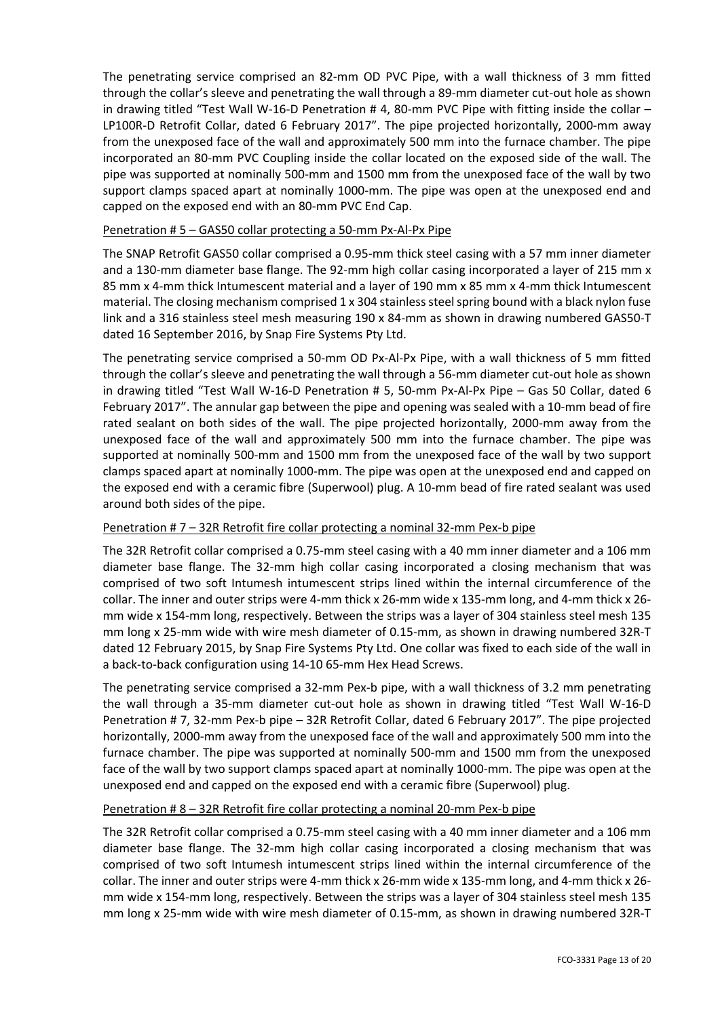The penetrating service comprised an 82-mm OD PVC Pipe, with a wall thickness of 3 mm fitted through the collar's sleeve and penetrating the wall through a 89‐mm diameter cut‐out hole as shown in drawing titled "Test Wall W-16-D Penetration # 4, 80-mm PVC Pipe with fitting inside the collar – LP100R-D Retrofit Collar, dated 6 February 2017". The pipe projected horizontally, 2000-mm away from the unexposed face of the wall and approximately 500 mm into the furnace chamber. The pipe incorporated an 80‐mm PVC Coupling inside the collar located on the exposed side of the wall. The pipe was supported at nominally 500‐mm and 1500 mm from the unexposed face of the wall by two support clamps spaced apart at nominally 1000-mm. The pipe was open at the unexposed end and capped on the exposed end with an 80‐mm PVC End Cap.

### Penetration # 5 – GAS50 collar protecting a 50‐mm Px‐Al‐Px Pipe

The SNAP Retrofit GAS50 collar comprised a 0.95‐mm thick steel casing with a 57 mm inner diameter and a 130-mm diameter base flange. The 92-mm high collar casing incorporated a layer of 215 mm x 85 mm x 4-mm thick Intumescent material and a layer of 190 mm x 85 mm x 4-mm thick Intumescent material. The closing mechanism comprised 1 x 304 stainless steel spring bound with a black nylon fuse link and a 316 stainless steel mesh measuring 190 x 84‐mm as shown in drawing numbered GAS50‐T dated 16 September 2016, by Snap Fire Systems Pty Ltd.

The penetrating service comprised a 50-mm OD Px-Al-Px Pipe, with a wall thickness of 5 mm fitted through the collar's sleeve and penetrating the wall through a 56‐mm diameter cut‐out hole as shown in drawing titled "Test Wall W‐16‐D Penetration # 5, 50‐mm Px‐Al‐Px Pipe – Gas 50 Collar, dated 6 February 2017". The annular gap between the pipe and opening was sealed with a 10‐mm bead of fire rated sealant on both sides of the wall. The pipe projected horizontally, 2000‐mm away from the unexposed face of the wall and approximately 500 mm into the furnace chamber. The pipe was supported at nominally 500-mm and 1500 mm from the unexposed face of the wall by two support clamps spaced apart at nominally 1000‐mm. The pipe was open at the unexposed end and capped on the exposed end with a ceramic fibre (Superwool) plug. A 10‐mm bead of fire rated sealant was used around both sides of the pipe.

### Penetration # 7 – 32R Retrofit fire collar protecting a nominal 32‐mm Pex‐b pipe

The 32R Retrofit collar comprised a 0.75‐mm steel casing with a 40 mm inner diameter and a 106 mm diameter base flange. The 32-mm high collar casing incorporated a closing mechanism that was comprised of two soft Intumesh intumescent strips lined within the internal circumference of the collar. The inner and outer strips were 4‐mm thick x 26‐mm wide x 135‐mm long, and 4‐mm thick x 26‐ mm wide x 154‐mm long, respectively. Between the strips was a layer of 304 stainless steel mesh 135 mm long x 25‐mm wide with wire mesh diameter of 0.15‐mm, as shown in drawing numbered 32R‐T dated 12 February 2015, by Snap Fire Systems Pty Ltd. One collar was fixed to each side of the wall in a back‐to‐back configuration using 14‐10 65‐mm Hex Head Screws.

The penetrating service comprised a 32‐mm Pex‐b pipe, with a wall thickness of 3.2 mm penetrating the wall through a 35-mm diameter cut-out hole as shown in drawing titled "Test Wall W-16-D Penetration # 7, 32‐mm Pex‐b pipe – 32R Retrofit Collar, dated 6 February 2017". The pipe projected horizontally, 2000‐mm away from the unexposed face of the wall and approximately 500 mm into the furnace chamber. The pipe was supported at nominally 500‐mm and 1500 mm from the unexposed face of the wall by two support clamps spaced apart at nominally 1000-mm. The pipe was open at the unexposed end and capped on the exposed end with a ceramic fibre (Superwool) plug.

### Penetration # 8 – 32R Retrofit fire collar protecting a nominal 20‐mm Pex‐b pipe

The 32R Retrofit collar comprised a 0.75‐mm steel casing with a 40 mm inner diameter and a 106 mm diameter base flange. The 32‐mm high collar casing incorporated a closing mechanism that was comprised of two soft Intumesh intumescent strips lined within the internal circumference of the collar. The inner and outer strips were 4‐mm thick x 26‐mm wide x 135‐mm long, and 4‐mm thick x 26‐ mm wide x 154‐mm long, respectively. Between the strips was a layer of 304 stainless steel mesh 135 mm long x 25‐mm wide with wire mesh diameter of 0.15‐mm, as shown in drawing numbered 32R‐T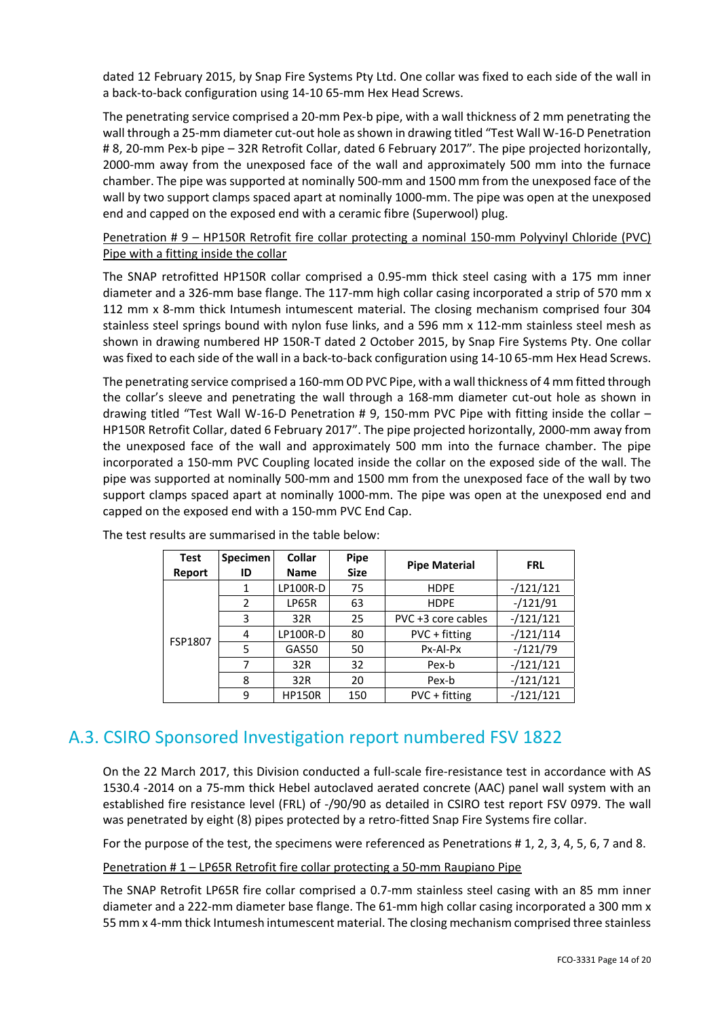dated 12 February 2015, by Snap Fire Systems Pty Ltd. One collar was fixed to each side of the wall in a back‐to‐back configuration using 14‐10 65‐mm Hex Head Screws.

The penetrating service comprised a 20-mm Pex-b pipe, with a wall thickness of 2 mm penetrating the wall through a 25-mm diameter cut-out hole as shown in drawing titled "Test Wall W-16-D Penetration # 8, 20‐mm Pex‐b pipe – 32R Retrofit Collar, dated 6 February 2017". The pipe projected horizontally, 2000‐mm away from the unexposed face of the wall and approximately 500 mm into the furnace chamber. The pipe was supported at nominally 500‐mm and 1500 mm from the unexposed face of the wall by two support clamps spaced apart at nominally 1000-mm. The pipe was open at the unexposed end and capped on the exposed end with a ceramic fibre (Superwool) plug.

Penetration # 9 – HP150R Retrofit fire collar protecting a nominal 150-mm Polyvinyl Chloride (PVC) Pipe with a fitting inside the collar

The SNAP retrofitted HP150R collar comprised a 0.95-mm thick steel casing with a 175 mm inner diameter and a 326‐mm base flange. The 117‐mm high collar casing incorporated a strip of 570 mm x 112 mm x 8-mm thick Intumesh intumescent material. The closing mechanism comprised four 304 stainless steel springs bound with nylon fuse links, and a 596 mm x 112-mm stainless steel mesh as shown in drawing numbered HP 150R‐T dated 2 October 2015, by Snap Fire Systems Pty. One collar was fixed to each side of the wall in a back-to-back configuration using 14-10 65-mm Hex Head Screws.

The penetrating service comprised a 160-mm OD PVC Pipe, with a wall thickness of 4 mm fitted through the collar's sleeve and penetrating the wall through a 168-mm diameter cut-out hole as shown in drawing titled "Test Wall W‐16‐D Penetration # 9, 150‐mm PVC Pipe with fitting inside the collar – HP150R Retrofit Collar, dated 6 February 2017". The pipe projected horizontally, 2000‐mm away from the unexposed face of the wall and approximately 500 mm into the furnace chamber. The pipe incorporated a 150‐mm PVC Coupling located inside the collar on the exposed side of the wall. The pipe was supported at nominally 500‐mm and 1500 mm from the unexposed face of the wall by two support clamps spaced apart at nominally 1000-mm. The pipe was open at the unexposed end and capped on the exposed end with a 150‐mm PVC End Cap.

| <b>Test</b> | Specimen | <b>Collar</b>                        | <b>Pipe</b> | <b>Pipe Material</b> | <b>FRL</b>  |  |
|-------------|----------|--------------------------------------|-------------|----------------------|-------------|--|
| Report      | ID       | <b>Name</b>                          | <b>Size</b> |                      |             |  |
|             | 1        | <b>LP100R-D</b><br>75<br><b>HDPE</b> |             |                      | $-/121/121$ |  |
|             | 2        | LP65R                                | 63          | <b>HDPE</b>          | $-/121/91$  |  |
|             | 3        | 32R                                  |             | PVC +3 core cables   | $-/121/121$ |  |
|             | 4        | LP100R-D                             | 80          | PVC + fitting        | $-/121/114$ |  |
| FSP1807     | 5        | GAS50                                | 50          | Px-Al-Px             | $-/121/79$  |  |
|             |          | 32R                                  | 32          | Pex-b                | $-/121/121$ |  |
|             | 8        | 32R                                  | 20          | Pex-b                | $-/121/121$ |  |
|             | 9        | <b>HP150R</b>                        | 150         | PVC + fitting        | $-/121/121$ |  |

The test results are summarised in the table below:

### A.3. CSIRO Sponsored Investigation report numbered FSV 1822

On the 22 March 2017, this Division conducted a full‐scale fire‐resistance test in accordance with AS 1530.4 ‐2014 on a 75‐mm thick Hebel autoclaved aerated concrete (AAC) panel wall system with an established fire resistance level (FRL) of ‐/90/90 as detailed in CSIRO test report FSV 0979. The wall was penetrated by eight (8) pipes protected by a retro-fitted Snap Fire Systems fire collar.

For the purpose of the test, the specimens were referenced as Penetrations # 1, 2, 3, 4, 5, 6, 7 and 8.

Penetration # 1 – LP65R Retrofit fire collar protecting a 50-mm Raupiano Pipe

The SNAP Retrofit LP65R fire collar comprised a 0.7‐mm stainless steel casing with an 85 mm inner diameter and a 222-mm diameter base flange. The 61-mm high collar casing incorporated a 300 mm x 55 mm x 4‐mm thick Intumesh intumescent material. The closing mechanism comprised three stainless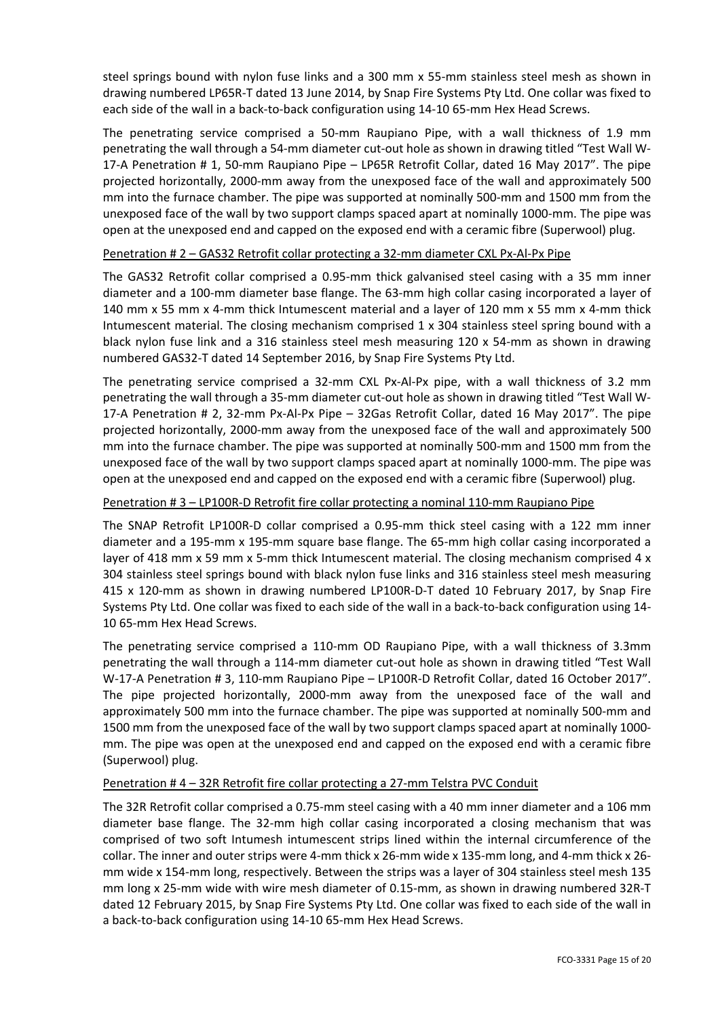steel springs bound with nylon fuse links and a 300 mm x 55-mm stainless steel mesh as shown in drawing numbered LP65R‐T dated 13 June 2014, by Snap Fire Systems Pty Ltd. One collar was fixed to each side of the wall in a back-to-back configuration using 14-10 65-mm Hex Head Screws.

The penetrating service comprised a 50-mm Raupiano Pipe, with a wall thickness of 1.9 mm penetrating the wall through a 54-mm diameter cut-out hole as shown in drawing titled "Test Wall W-17‐A Penetration # 1, 50‐mm Raupiano Pipe – LP65R Retrofit Collar, dated 16 May 2017". The pipe projected horizontally, 2000‐mm away from the unexposed face of the wall and approximately 500 mm into the furnace chamber. The pipe was supported at nominally 500‐mm and 1500 mm from the unexposed face of the wall by two support clamps spaced apart at nominally 1000‐mm. The pipe was open at the unexposed end and capped on the exposed end with a ceramic fibre (Superwool) plug.

### Penetration # 2 – GAS32 Retrofit collar protecting a 32‐mm diameter CXL Px‐Al‐Px Pipe

The GAS32 Retrofit collar comprised a 0.95-mm thick galvanised steel casing with a 35 mm inner diameter and a 100‐mm diameter base flange. The 63‐mm high collar casing incorporated a layer of 140 mm x 55 mm x 4‐mm thick Intumescent material and a layer of 120 mm x 55 mm x 4‐mm thick Intumescent material. The closing mechanism comprised 1 x 304 stainless steel spring bound with a black nylon fuse link and a 316 stainless steel mesh measuring 120 x 54‐mm as shown in drawing numbered GAS32‐T dated 14 September 2016, by Snap Fire Systems Pty Ltd.

The penetrating service comprised a 32-mm CXL Px-Al-Px pipe, with a wall thickness of 3.2 mm penetrating the wall through a 35-mm diameter cut-out hole as shown in drawing titled "Test Wall W-17‐A Penetration # 2, 32‐mm Px‐Al‐Px Pipe – 32Gas Retrofit Collar, dated 16 May 2017". The pipe projected horizontally, 2000‐mm away from the unexposed face of the wall and approximately 500 mm into the furnace chamber. The pipe was supported at nominally 500‐mm and 1500 mm from the unexposed face of the wall by two support clamps spaced apart at nominally 1000‐mm. The pipe was open at the unexposed end and capped on the exposed end with a ceramic fibre (Superwool) plug.

### Penetration # 3 – LP100R‐D Retrofit fire collar protecting a nominal 110‐mm Raupiano Pipe

The SNAP Retrofit LP100R-D collar comprised a 0.95-mm thick steel casing with a 122 mm inner diameter and a 195‐mm x 195‐mm square base flange. The 65‐mm high collar casing incorporated a layer of 418 mm  $x$  59 mm  $x$  5-mm thick Intumescent material. The closing mechanism comprised 4  $x$ 304 stainless steel springs bound with black nylon fuse links and 316 stainless steel mesh measuring 415 x 120-mm as shown in drawing numbered LP100R-D-T dated 10 February 2017, by Snap Fire Systems Pty Ltd. One collar was fixed to each side of the wall in a back‐to‐back configuration using 14‐ 10 65‐mm Hex Head Screws.

The penetrating service comprised a 110-mm OD Raupiano Pipe, with a wall thickness of 3.3mm penetrating the wall through a 114‐mm diameter cut‐out hole as shown in drawing titled "Test Wall W‐17‐A Penetration # 3, 110‐mm Raupiano Pipe – LP100R‐D Retrofit Collar, dated 16 October 2017". The pipe projected horizontally, 2000-mm away from the unexposed face of the wall and approximately 500 mm into the furnace chamber. The pipe was supported at nominally 500‐mm and 1500 mm from the unexposed face of the wall by two support clamps spaced apart at nominally 1000‐ mm. The pipe was open at the unexposed end and capped on the exposed end with a ceramic fibre (Superwool) plug.

### Penetration # 4 – 32R Retrofit fire collar protecting a 27-mm Telstra PVC Conduit

The 32R Retrofit collar comprised a 0.75‐mm steel casing with a 40 mm inner diameter and a 106 mm diameter base flange. The 32‐mm high collar casing incorporated a closing mechanism that was comprised of two soft Intumesh intumescent strips lined within the internal circumference of the collar. The inner and outer strips were 4‐mm thick x 26‐mm wide x 135‐mm long, and 4‐mm thick x 26‐ mm wide x 154‐mm long, respectively. Between the strips was a layer of 304 stainless steel mesh 135 mm long x 25‐mm wide with wire mesh diameter of 0.15‐mm, as shown in drawing numbered 32R‐T dated 12 February 2015, by Snap Fire Systems Pty Ltd. One collar was fixed to each side of the wall in a back‐to‐back configuration using 14‐10 65‐mm Hex Head Screws.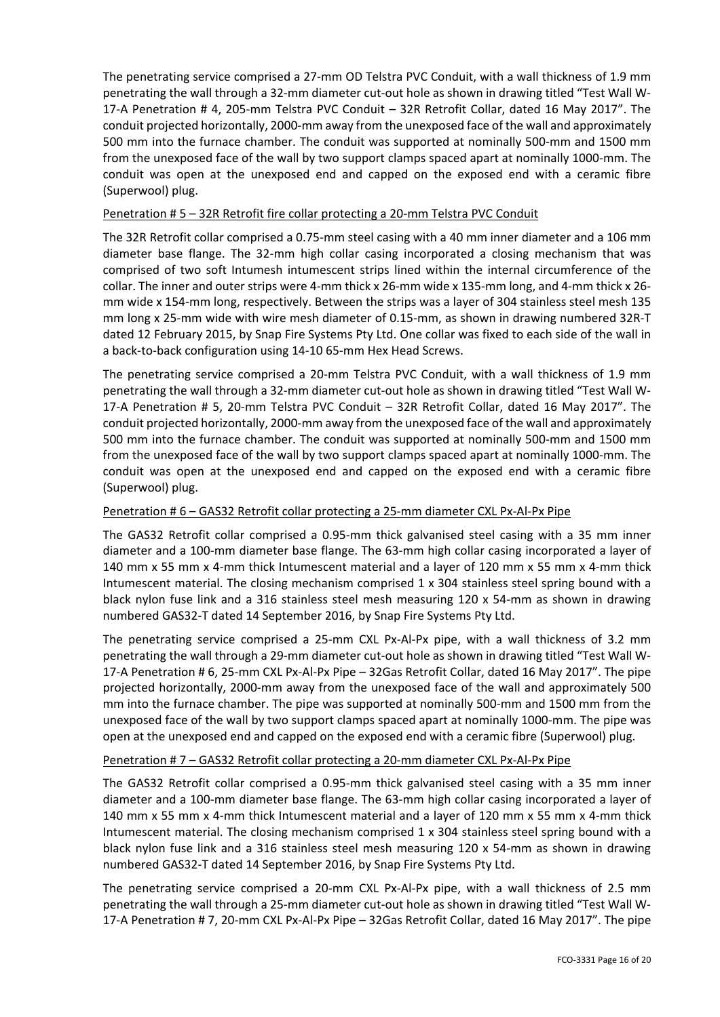The penetrating service comprised a 27‐mm OD Telstra PVC Conduit, with a wall thickness of 1.9 mm penetrating the wall through a 32-mm diameter cut-out hole as shown in drawing titled "Test Wall W-17‐A Penetration # 4, 205‐mm Telstra PVC Conduit – 32R Retrofit Collar, dated 16 May 2017". The conduit projected horizontally, 2000‐mm away from the unexposed face of the wall and approximately 500 mm into the furnace chamber. The conduit was supported at nominally 500‐mm and 1500 mm from the unexposed face of the wall by two support clamps spaced apart at nominally 1000‐mm. The conduit was open at the unexposed end and capped on the exposed end with a ceramic fibre (Superwool) plug.

### Penetration # 5 – 32R Retrofit fire collar protecting a 20-mm Telstra PVC Conduit

The 32R Retrofit collar comprised a 0.75‐mm steel casing with a 40 mm inner diameter and a 106 mm diameter base flange. The 32‐mm high collar casing incorporated a closing mechanism that was comprised of two soft Intumesh intumescent strips lined within the internal circumference of the collar. The inner and outer strips were 4‐mm thick x 26‐mm wide x 135‐mm long, and 4‐mm thick x 26‐ mm wide x 154‐mm long, respectively. Between the strips was a layer of 304 stainless steel mesh 135 mm long x 25‐mm wide with wire mesh diameter of 0.15‐mm, as shown in drawing numbered 32R‐T dated 12 February 2015, by Snap Fire Systems Pty Ltd. One collar was fixed to each side of the wall in a back‐to‐back configuration using 14‐10 65‐mm Hex Head Screws.

The penetrating service comprised a 20-mm Telstra PVC Conduit, with a wall thickness of 1.9 mm penetrating the wall through a 32-mm diameter cut-out hole as shown in drawing titled "Test Wall W-17‐A Penetration # 5, 20‐mm Telstra PVC Conduit – 32R Retrofit Collar, dated 16 May 2017". The conduit projected horizontally, 2000‐mm away from the unexposed face of the wall and approximately 500 mm into the furnace chamber. The conduit was supported at nominally 500‐mm and 1500 mm from the unexposed face of the wall by two support clamps spaced apart at nominally 1000‐mm. The conduit was open at the unexposed end and capped on the exposed end with a ceramic fibre (Superwool) plug.

### Penetration # 6 – GAS32 Retrofit collar protecting a 25‐mm diameter CXL Px‐Al‐Px Pipe

The GAS32 Retrofit collar comprised a 0.95-mm thick galvanised steel casing with a 35 mm inner diameter and a 100‐mm diameter base flange. The 63‐mm high collar casing incorporated a layer of 140 mm x 55 mm x 4‐mm thick Intumescent material and a layer of 120 mm x 55 mm x 4‐mm thick Intumescent material. The closing mechanism comprised 1 x 304 stainless steel spring bound with a black nylon fuse link and a 316 stainless steel mesh measuring 120 x 54-mm as shown in drawing numbered GAS32‐T dated 14 September 2016, by Snap Fire Systems Pty Ltd.

The penetrating service comprised a 25-mm CXL Px-Al-Px pipe, with a wall thickness of 3.2 mm penetrating the wall through a 29‐mm diameter cut‐out hole as shown in drawing titled "Test Wall W‐ 17‐A Penetration # 6, 25‐mm CXL Px‐Al‐Px Pipe – 32Gas Retrofit Collar, dated 16 May 2017". The pipe projected horizontally, 2000‐mm away from the unexposed face of the wall and approximately 500 mm into the furnace chamber. The pipe was supported at nominally 500‐mm and 1500 mm from the unexposed face of the wall by two support clamps spaced apart at nominally 1000‐mm. The pipe was open at the unexposed end and capped on the exposed end with a ceramic fibre (Superwool) plug.

### Penetration # 7 – GAS32 Retrofit collar protecting a 20‐mm diameter CXL Px‐Al‐Px Pipe

The GAS32 Retrofit collar comprised a 0.95-mm thick galvanised steel casing with a 35 mm inner diameter and a 100‐mm diameter base flange. The 63‐mm high collar casing incorporated a layer of 140 mm x 55 mm x 4‐mm thick Intumescent material and a layer of 120 mm x 55 mm x 4‐mm thick Intumescent material. The closing mechanism comprised 1 x 304 stainless steel spring bound with a black nylon fuse link and a 316 stainless steel mesh measuring 120 x 54-mm as shown in drawing numbered GAS32‐T dated 14 September 2016, by Snap Fire Systems Pty Ltd.

The penetrating service comprised a 20-mm CXL Px-Al-Px pipe, with a wall thickness of 2.5 mm penetrating the wall through a 25‐mm diameter cut‐out hole as shown in drawing titled "Test Wall W‐ 17‐A Penetration # 7, 20‐mm CXL Px‐Al‐Px Pipe – 32Gas Retrofit Collar, dated 16 May 2017". The pipe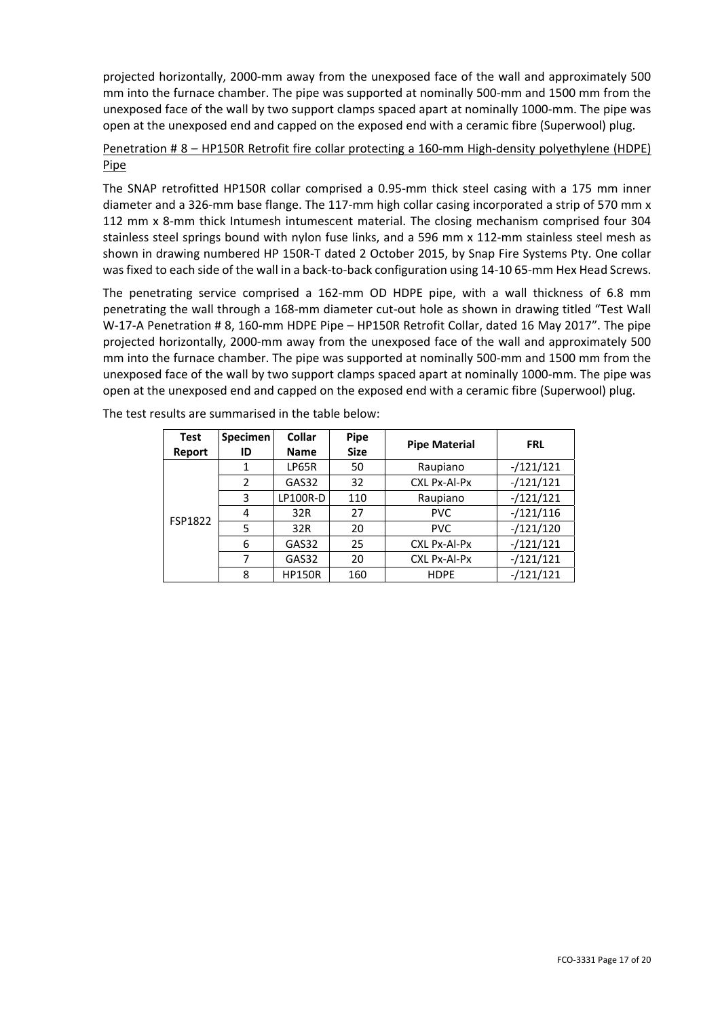projected horizontally, 2000‐mm away from the unexposed face of the wall and approximately 500 mm into the furnace chamber. The pipe was supported at nominally 500‐mm and 1500 mm from the unexposed face of the wall by two support clamps spaced apart at nominally 1000‐mm. The pipe was open at the unexposed end and capped on the exposed end with a ceramic fibre (Superwool) plug.

### Penetration # 8 – HP150R Retrofit fire collar protecting a 160-mm High-density polyethylene (HDPE) Pipe

The SNAP retrofitted HP150R collar comprised a 0.95-mm thick steel casing with a 175 mm inner diameter and a 326‐mm base flange. The 117‐mm high collar casing incorporated a strip of 570 mm x 112 mm x 8‐mm thick Intumesh intumescent material. The closing mechanism comprised four 304 stainless steel springs bound with nylon fuse links, and a 596 mm x 112‐mm stainless steel mesh as shown in drawing numbered HP 150R‐T dated 2 October 2015, by Snap Fire Systems Pty. One collar was fixed to each side of the wall in a back-to-back configuration using 14-10 65-mm Hex Head Screws.

The penetrating service comprised a 162-mm OD HDPE pipe, with a wall thickness of 6.8 mm penetrating the wall through a 168-mm diameter cut-out hole as shown in drawing titled "Test Wall W‐17‐A Penetration # 8, 160‐mm HDPE Pipe – HP150R Retrofit Collar, dated 16 May 2017". The pipe projected horizontally, 2000‐mm away from the unexposed face of the wall and approximately 500 mm into the furnace chamber. The pipe was supported at nominally 500-mm and 1500 mm from the unexposed face of the wall by two support clamps spaced apart at nominally 1000‐mm. The pipe was open at the unexposed end and capped on the exposed end with a ceramic fibre (Superwool) plug.

| <b>Test</b> | <b>Specimen</b> | Collar          | <b>Pipe</b>        |                      |             |
|-------------|-----------------|-----------------|--------------------|----------------------|-------------|
| Report      | ID              | <b>Name</b>     | <b>Size</b>        | <b>Pipe Material</b> | <b>FRL</b>  |
|             | 1               | LP65R           | 50                 | Raupiano             | $-/121/121$ |
|             | 2               | GAS32           | 32                 | CXL Px-Al-Px         | $-/121/121$ |
|             | 3               | <b>LP100R-D</b> | 110                | Raupiano             | $-/121/121$ |
| FSP1822     | 4               | 32R             | 27                 | <b>PVC</b>           | $-/121/116$ |
|             | 5               | 32R             | 20                 | <b>PVC</b>           | $-/121/120$ |
|             | 6               | GAS32           | 25                 | CXL Px-Al-Px         | $-/121/121$ |
|             | 7               | GAS32           | CXL Px-Al-Px<br>20 |                      | $-/121/121$ |
|             | 8               | <b>HP150R</b>   | 160                | <b>HDPE</b>          | $-/121/121$ |

The test results are summarised in the table below: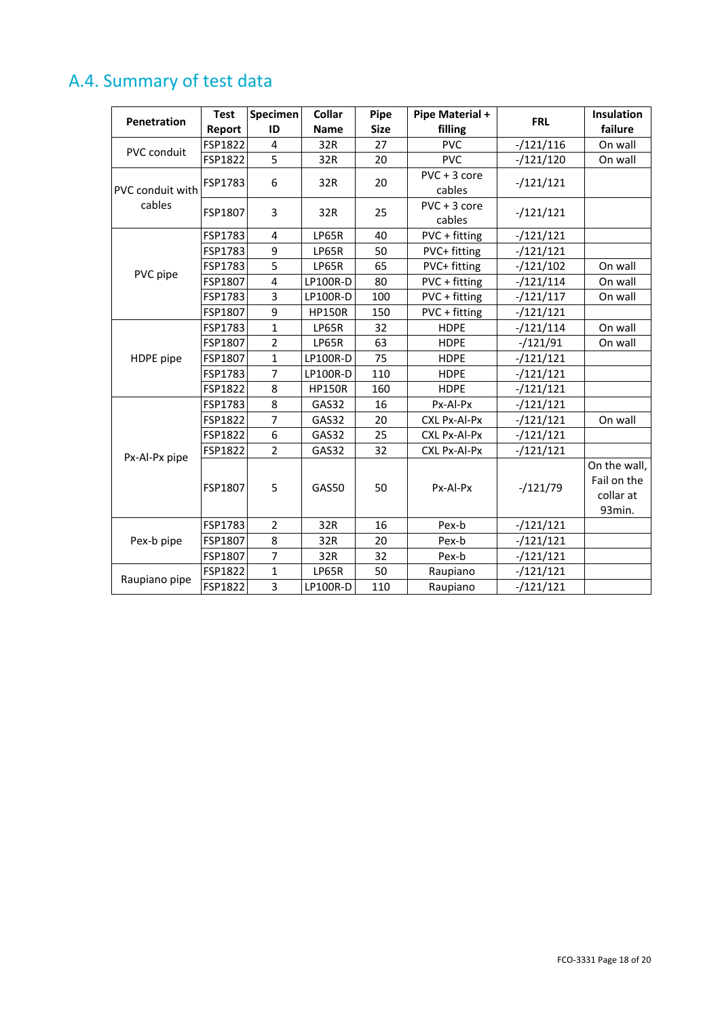## A.4. Summary of test data

| <b>Penetration</b> | <b>Test</b> | Specimen                | Collar          | Pipe        | <b>Pipe Material +</b>   | <b>FRL</b>  | Insulation                                         |
|--------------------|-------------|-------------------------|-----------------|-------------|--------------------------|-------------|----------------------------------------------------|
|                    | Report      | ID                      | <b>Name</b>     | <b>Size</b> | filling                  |             | failure                                            |
| PVC conduit        | FSP1822     | 4                       | 32R             | 27          | <b>PVC</b>               | $-/121/116$ | On wall                                            |
|                    | FSP1822     | 5                       | 32R             | 20          | <b>PVC</b>               | $-121/120$  | On wall                                            |
| PVC conduit with   | FSP1783     | 6                       | 32R             | 20          | $PVC + 3 core$<br>cables | $-/121/121$ |                                                    |
| cables             | FSP1807     | 3                       | 32R             | 25          | $PVC + 3 core$<br>cables | $-121/121$  |                                                    |
|                    | FSP1783     | 4                       | LP65R           | 40          | PVC + fitting            | $-121/121$  |                                                    |
|                    | FSP1783     | 9                       | LP65R           | 50          | PVC+ fitting             | $-121/121$  |                                                    |
|                    | FSP1783     | 5                       | LP65R           | 65          | PVC+ fitting             | $-121/102$  | On wall                                            |
| PVC pipe           | FSP1807     | $\overline{\mathbf{4}}$ | LP100R-D        | 80          | PVC + fitting            | $-/121/114$ | On wall                                            |
|                    | FSP1783     | 3                       | <b>LP100R-D</b> | 100         | PVC + fitting            | $-121/117$  | On wall                                            |
|                    | FSP1807     | 9                       | <b>HP150R</b>   | 150         | PVC + fitting            | $-/121/121$ |                                                    |
|                    | FSP1783     | $\mathbf{1}$            | LP65R           | 32          | <b>HDPE</b>              | $-121/114$  | On wall                                            |
|                    | FSP1807     | $\overline{2}$          | LP65R           | 63          | <b>HDPE</b>              | $-121/91$   | On wall                                            |
| HDPE pipe          | FSP1807     | $\mathbf{1}$            | LP100R-D        | 75          | <b>HDPE</b>              | $-/121/121$ |                                                    |
|                    | FSP1783     | $\overline{7}$          | <b>LP100R-D</b> | 110         | <b>HDPE</b>              | $-121/121$  |                                                    |
|                    | FSP1822     | 8                       | <b>HP150R</b>   | 160         | <b>HDPE</b>              | $-121/121$  |                                                    |
|                    | FSP1783     | 8                       | GAS32           | 16          | Px-Al-Px                 | $-/121/121$ |                                                    |
|                    | FSP1822     | $\overline{7}$          | GAS32           | 20          | CXL Px-Al-Px             | $-121/121$  | On wall                                            |
|                    | FSP1822     | 6                       | GAS32           | 25          | CXL Px-Al-Px             | $-121/121$  |                                                    |
|                    | FSP1822     | $\overline{2}$          | GAS32           | 32          | CXL Px-Al-Px             | $-/121/121$ |                                                    |
| Px-Al-Px pipe      | FSP1807     | 5                       | GAS50           | 50          | Px-Al-Px                 | $-121/79$   | On the wall,<br>Fail on the<br>collar at<br>93min. |
|                    | FSP1783     | $\overline{2}$          | 32R             | 16          | Pex-b                    | $-121/121$  |                                                    |
| Pex-b pipe         | FSP1807     | 8                       | 32R             | 20          | Pex-b                    | $-/121/121$ |                                                    |
|                    | FSP1807     | $\overline{7}$          | 32R             | 32          | Pex-b                    | $-121/121$  |                                                    |
| Raupiano pipe      | FSP1822     | $\mathbf{1}$            | LP65R           | 50          | Raupiano                 | $-/121/121$ |                                                    |
|                    | FSP1822     | 3                       | LP100R-D        | 110         | Raupiano                 | $-121/121$  |                                                    |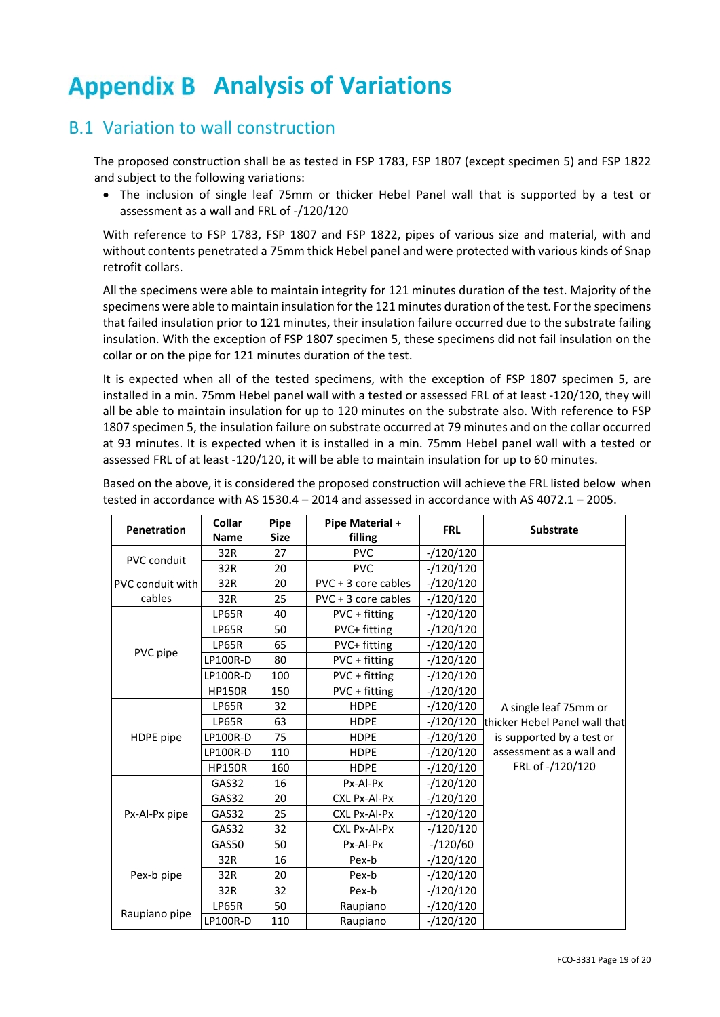## **Appendix B Analysis of Variations**

### B.1 Variation to wall construction

The proposed construction shall be as tested in FSP 1783, FSP 1807 (except specimen 5) and FSP 1822 and subject to the following variations:

• The inclusion of single leaf 75mm or thicker Hebel Panel wall that is supported by a test or assessment as a wall and FRL of ‐/120/120

With reference to FSP 1783, FSP 1807 and FSP 1822, pipes of various size and material, with and without contents penetrated a 75mm thick Hebel panel and were protected with various kinds of Snap retrofit collars.

All the specimens were able to maintain integrity for 121 minutes duration of the test. Majority of the specimens were able to maintain insulation for the 121 minutes duration of the test. For the specimens that failed insulation prior to 121 minutes, their insulation failure occurred due to the substrate failing insulation. With the exception of FSP 1807 specimen 5, these specimens did not fail insulation on the collar or on the pipe for 121 minutes duration of the test.

It is expected when all of the tested specimens, with the exception of FSP 1807 specimen 5, are installed in a min. 75mm Hebel panel wall with a tested or assessed FRL of at least ‐120/120, they will all be able to maintain insulation for up to 120 minutes on the substrate also. With reference to FSP 1807 specimen 5, the insulation failure on substrate occurred at 79 minutes and on the collar occurred at 93 minutes. It is expected when it is installed in a min. 75mm Hebel panel wall with a tested or assessed FRL of at least ‐120/120, it will be able to maintain insulation for up to 60 minutes.

Based on the above, it is considered the proposed construction will achieve the FRL listed below when tested in accordance with AS 1530.4 – 2014 and assessed in accordance with AS 4072.1 – 2005.

| <b>Penetration</b>      | <b>Collar</b><br><b>Name</b> | Pipe<br><b>Size</b> | Pipe Material +<br>filling | <b>FRL</b>  | <b>Substrate</b>              |
|-------------------------|------------------------------|---------------------|----------------------------|-------------|-------------------------------|
|                         | 32R                          | 27                  | <b>PVC</b>                 | $-120/120$  |                               |
| <b>PVC conduit</b>      | 32R                          | 20                  | <b>PVC</b>                 | $-/120/120$ |                               |
| <b>PVC conduit with</b> | 32R                          | 20                  | PVC + 3 core cables        | $-/120/120$ |                               |
| cables                  | 32R                          | 25                  | PVC + 3 core cables        | $-120/120$  |                               |
|                         | LP65R                        | 40                  | PVC + fitting              | $-/120/120$ |                               |
|                         | LP65R                        | 50                  | PVC+ fitting               | $-/120/120$ |                               |
| PVC pipe                | LP65R                        | 65                  | PVC+ fitting               | $-120/120$  |                               |
|                         | <b>LP100R-D</b>              | 80                  | PVC + fitting              | $-/120/120$ |                               |
|                         | <b>LP100R-D</b>              | 100                 | PVC + fitting              | $-120/120$  |                               |
|                         | <b>HP150R</b>                | 150                 | PVC + fitting              | $-120/120$  |                               |
|                         | LP65R                        | 32                  | <b>HDPE</b>                | $-120/120$  | A single leaf 75mm or         |
|                         | LP65R                        | 63                  | <b>HDPE</b>                | $-120/120$  | thicker Hebel Panel wall that |
| HDPE pipe               | <b>LP100R-D</b>              | 75                  | <b>HDPE</b>                | $-/120/120$ | is supported by a test or     |
|                         | <b>LP100R-D</b>              | 110                 | <b>HDPE</b>                | $-120/120$  | assessment as a wall and      |
|                         | <b>HP150R</b>                | 160                 | <b>HDPE</b>                | $-120/120$  | FRL of -/120/120              |
|                         | GAS32                        | 16                  | Px-Al-Px                   | $-120/120$  |                               |
|                         | GAS32                        | 20                  | CXL Px-Al-Px               | $-/120/120$ |                               |
| Px-Al-Px pipe           | GAS32                        | 25                  | CXL Px-Al-Px               | $-/120/120$ |                               |
|                         | GAS32                        | 32                  | CXL Px-Al-Px               | $-120/120$  |                               |
|                         | <b>GAS50</b>                 | 50                  | Px-Al-Px                   | $-/120/60$  |                               |
|                         | 32R                          | 16                  | Pex-b                      | $-120/120$  |                               |
| Pex-b pipe              | 32R                          | 20                  | Pex-b                      | $-120/120$  |                               |
|                         | 32R                          | 32                  | Pex-b                      | $-/120/120$ |                               |
|                         | LP65R                        | 50                  | Raupiano                   | $-120/120$  |                               |
| Raupiano pipe           | LP100R-D                     | 110                 | Raupiano                   | $-120/120$  |                               |